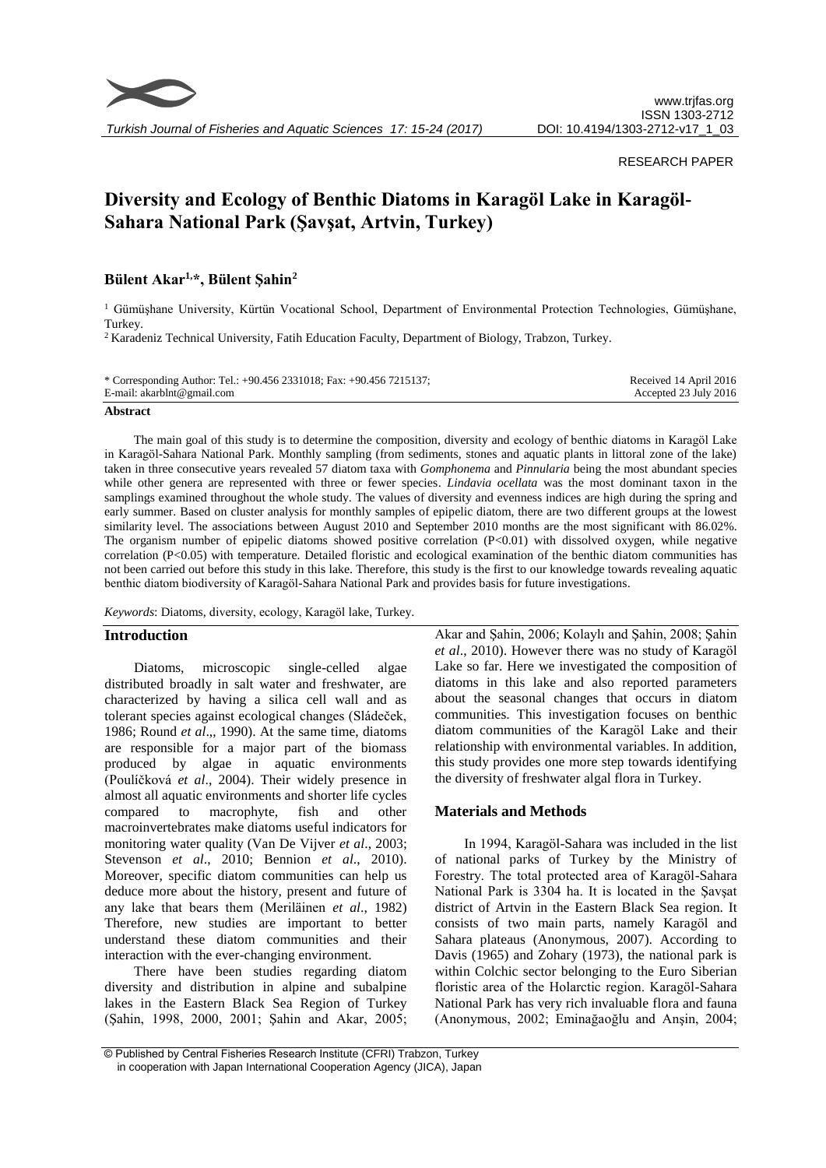

## RESEARCH PAPER

# **Diversity and Ecology of Benthic Diatoms in Karagöl Lake in Karagöl-Sahara National Park (Şavşat, Artvin, Turkey)**

# **Bülent Akar1,\*, Bülent Şahin<sup>2</sup>**

<sup>1</sup> Gümüşhane University, Kürtün Vocational School, Department of Environmental Protection Technologies, Gümüşhane, Turkey.

<sup>2</sup> Karadeniz Technical University, Fatih Education Faculty, Department of Biology, Trabzon, Turkey.

| * Corresponding Author: Tel.: +90.456 2331018; Fax: +90.456 7215137; | Received 14 April 2016 |
|----------------------------------------------------------------------|------------------------|
| E-mail: akarblnt@gmail.com                                           | Accepted 23 July 2016  |

#### **Abstract**

The main goal of this study is to determine the composition, diversity and ecology of benthic diatoms in Karagöl Lake in Karagöl-Sahara National Park. Monthly sampling (from sediments, stones and aquatic plants in littoral zone of the lake) taken in three consecutive years revealed 57 diatom taxa with *Gomphonema* and *Pinnularia* being the most abundant species while other genera are represented with three or fewer species. *Lindavia ocellata* was the most dominant taxon in the samplings examined throughout the whole study. The values of diversity and evenness indices are high during the spring and early summer. Based on cluster analysis for monthly samples of epipelic diatom, there are two different groups at the lowest similarity level. The associations between August 2010 and September 2010 months are the most significant with 86.02%. The organism number of epipelic diatoms showed positive correlation (P<0.01) with dissolved oxygen, while negative correlation (P<0.05) with temperature. Detailed floristic and ecological examination of the benthic diatom communities has not been carried out before this study in this lake. Therefore, this study is the first to our knowledge towards revealing aquatic benthic diatom biodiversity of Karagöl-Sahara National Park and provides basis for future investigations.

*Keywords*: Diatoms, diversity, ecology, Karagöl lake, Turkey.

### **Introduction**

Diatoms, microscopic single-celled algae distributed broadly in salt water and freshwater, are characterized by having a silica cell wall and as tolerant species against ecological changes (Sládeček, 1986; Round *et al*.,, 1990). At the same time, diatoms are responsible for a major part of the biomass produced by algae in aquatic environments (Poulíčková *et al*., 2004). Their widely presence in almost all aquatic environments and shorter life cycles compared to macrophyte, fish and other macroinvertebrates make diatoms useful indicators for monitoring water quality (Van De Vijver *et al*., 2003; Stevenson *et al*., 2010; Bennion *et al*., 2010). Moreover, specific diatom communities can help us deduce more about the history, present and future of any lake that bears them (Meriläinen *et al*., 1982) Therefore, new studies are important to better understand these diatom communities and their interaction with the ever-changing environment.

There have been studies regarding diatom diversity and distribution in alpine and subalpine lakes in the Eastern Black Sea Region of Turkey (Şahin, 1998, 2000, 2001; Şahin and Akar, 2005; Akar and Şahin, 2006; Kolaylı and Şahin, 2008; Şahin *et al*., 2010). However there was no study of Karagöl Lake so far. Here we investigated the composition of diatoms in this lake and also reported parameters about the seasonal changes that occurs in diatom communities. This investigation focuses on benthic diatom communities of the Karagöl Lake and their relationship with environmental variables. In addition, this study provides one more step towards identifying the diversity of freshwater algal flora in Turkey.

## **Materials and Methods**

In 1994, Karagöl-Sahara was included in the list of national parks of Turkey by the Ministry of Forestry. The total protected area of Karagöl-Sahara National Park is 3304 ha. It is located in the Şavşat district of Artvin in the Eastern Black Sea region. It consists of two main parts, namely Karagöl and Sahara plateaus (Anonymous, 2007). According to Davis (1965) and Zohary (1973), the national park is within Colchic sector belonging to the Euro Siberian floristic area of the Holarctic region. Karagöl-Sahara National Park has very rich invaluable flora and fauna (Anonymous, 2002; Eminağaoğlu and Anşin, 2004;

<sup>©</sup> Published by Central Fisheries Research Institute (CFRI) Trabzon, Turkey in cooperation with Japan International Cooperation Agency (JICA), Japan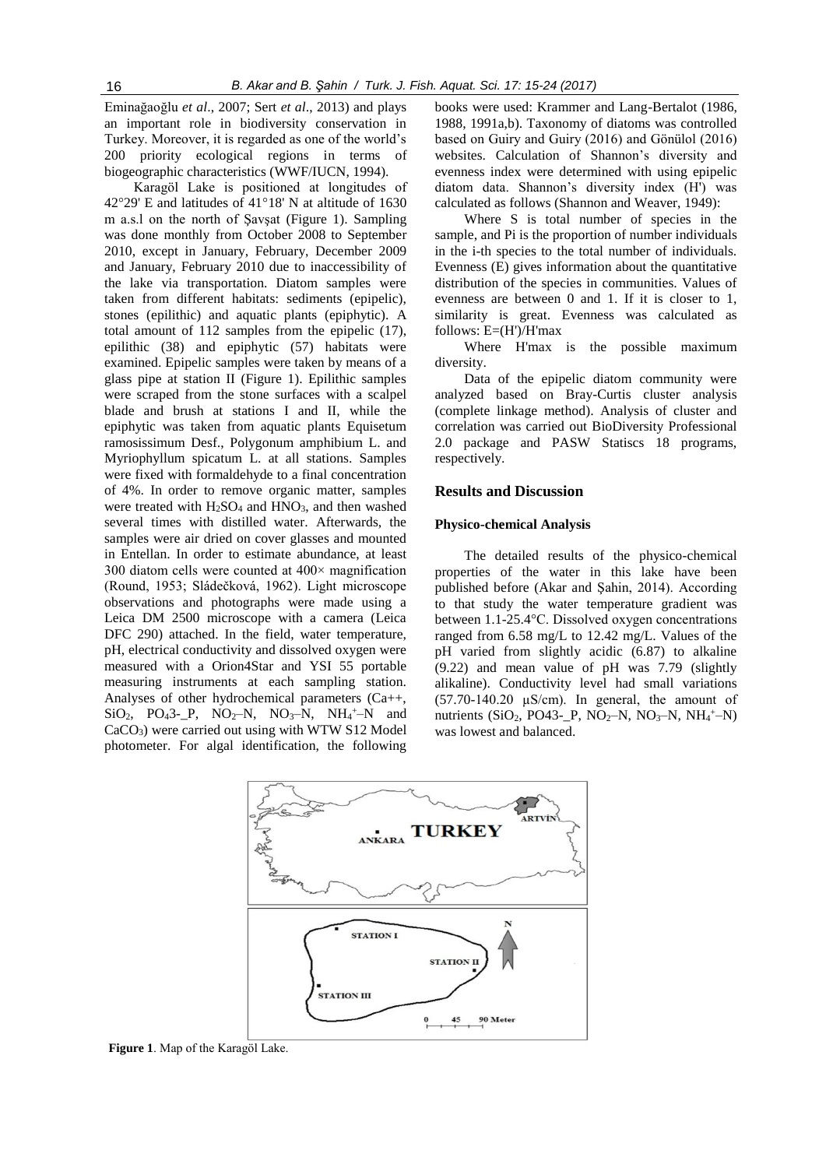Eminağaoğlu *et al*., 2007; Sert *et al*., 2013) and plays an important role in biodiversity conservation in Turkey. Moreover, it is regarded as one of the world's 200 priority ecological regions in terms of biogeographic characteristics (WWF/IUCN, 1994).

Karagöl Lake is positioned at longitudes of 42°29' E and latitudes of 41°18' N at altitude of 1630 m a.s.l on the north of Şavşat (Figure 1). Sampling was done monthly from October 2008 to September 2010, except in January, February, December 2009 and January, February 2010 due to inaccessibility of the lake via transportation. Diatom samples were taken from different habitats: sediments (epipelic), stones (epilithic) and aquatic plants (epiphytic). A total amount of 112 samples from the epipelic (17), epilithic (38) and epiphytic (57) habitats were examined. Epipelic samples were taken by means of a glass pipe at station II (Figure 1). Epilithic samples were scraped from the stone surfaces with a scalpel blade and brush at stations I and II, while the epiphytic was taken from aquatic plants Equisetum ramosissimum Desf., Polygonum amphibium L. and Myriophyllum spicatum L. at all stations. Samples were fixed with formaldehyde to a final concentration of 4%. In order to remove organic matter, samples were treated with  $H<sub>2</sub>SO<sub>4</sub>$  and  $HNO<sub>3</sub>$ , and then washed several times with distilled water. Afterwards, the samples were air dried on cover glasses and mounted in Entellan. In order to estimate abundance, at least 300 diatom cells were counted at  $400 \times$  magnification (Round, 1953; Sládečková, 1962). Light microscope observations and photographs were made using a Leica DM 2500 microscope with a camera (Leica DFC 290) attached. In the field, water temperature, pH, electrical conductivity and dissolved oxygen were measured with a Orion4Star and YSI 55 portable measuring instruments at each sampling station. Analyses of other hydrochemical parameters (Ca++,  $SiO_2$ , PO<sub>4</sub>3-<sub>-</sub>P, NO<sub>2</sub>-N, NO<sub>3</sub>-N, NH<sub>4</sub><sup>+</sup>-N and CaCO3) were carried out using with WTW S12 Model photometer. For algal identification, the following

books were used: Krammer and Lang-Bertalot (1986, 1988, 1991a,b). Taxonomy of diatoms was controlled based on Guiry and Guiry (2016) and Gönülol (2016) websites. Calculation of Shannon's diversity and evenness index were determined with using epipelic diatom data. Shannon's diversity index (H') was calculated as follows (Shannon and Weaver, 1949):

Where S is total number of species in the sample, and Pi is the proportion of number individuals in the i-th species to the total number of individuals. Evenness (E) gives information about the quantitative distribution of the species in communities. Values of evenness are between 0 and 1. If it is closer to 1, similarity is great. Evenness was calculated as follows:  $E=(H')/H'$ max

Where H'max is the possible maximum diversity.

Data of the epipelic diatom community were analyzed based on Bray-Curtis cluster analysis (complete linkage method). Analysis of cluster and correlation was carried out BioDiversity Professional 2.0 package and PASW Statiscs 18 programs, respectively.

## **Results and Discussion**

#### **Physico-chemical Analysis**

The detailed results of the physico-chemical properties of the water in this lake have been published before (Akar and Şahin, 2014). According to that study the water temperature gradient was between 1.1-25.4°C. Dissolved oxygen concentrations ranged from 6.58 mg/L to 12.42 mg/L. Values of the pH varied from slightly acidic (6.87) to alkaline (9.22) and mean value of pH was 7.79 (slightly alikaline). Conductivity level had small variations  $(57.70-140.20 \mu S/cm)$ . In general, the amount of nutrients (SiO<sub>2</sub>, PO43-<sub>-</sub>P, NO<sub>2</sub>-N, NO<sub>3</sub>-N, NH<sub>4</sub><sup>+</sup>-N) was lowest and balanced.



**Figure 1**. Map of the Karagöl Lake.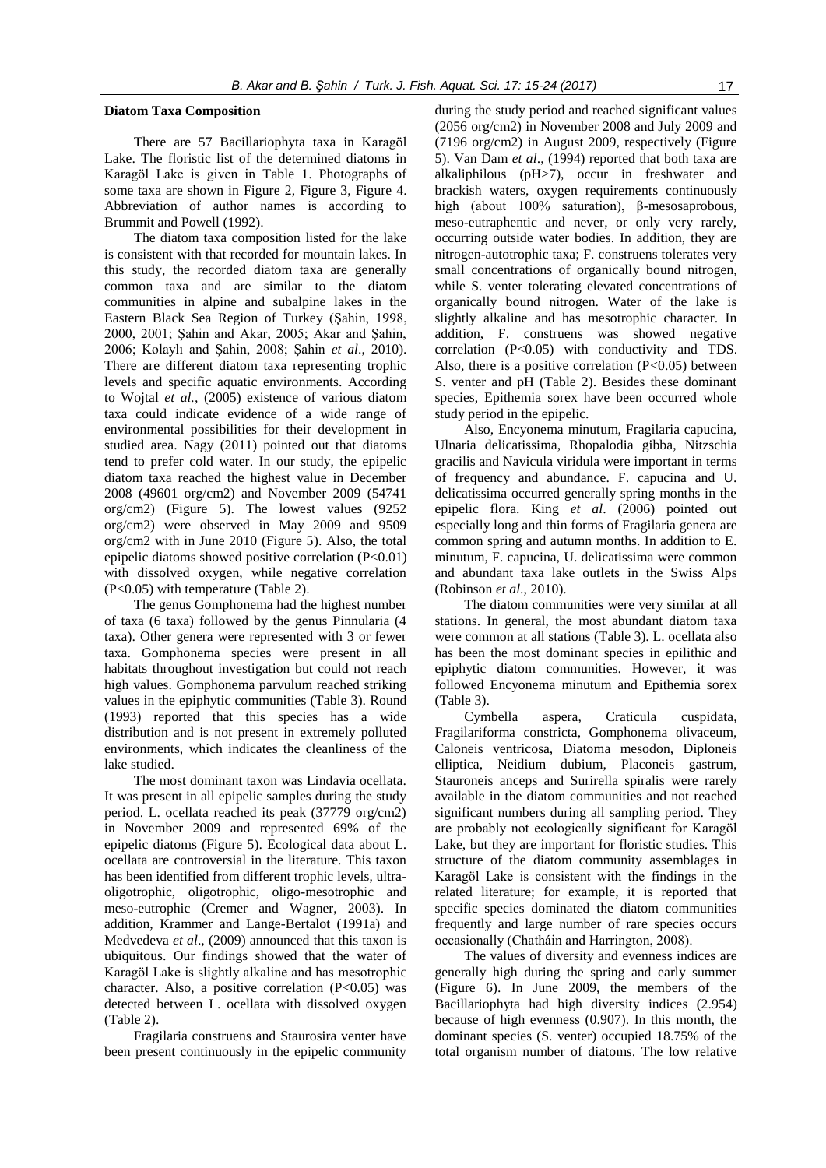#### **Diatom Taxa Composition**

There are 57 Bacillariophyta taxa in Karagöl Lake. The floristic list of the determined diatoms in Karagöl Lake is given in Table 1. Photographs of some taxa are shown in Figure 2, Figure 3, Figure 4. Abbreviation of author names is according to Brummit and Powell (1992).

The diatom taxa composition listed for the lake is consistent with that recorded for mountain lakes. In this study, the recorded diatom taxa are generally common taxa and are similar to the diatom communities in alpine and subalpine lakes in the Eastern Black Sea Region of Turkey (Şahin, 1998, 2000, 2001; Şahin and Akar, 2005; Akar and Şahin, 2006; Kolaylı and Şahin, 2008; Şahin *et al*., 2010). There are different diatom taxa representing trophic levels and specific aquatic environments. According to Wojtal *et al.,* (2005) existence of various diatom taxa could indicate evidence of a wide range of environmental possibilities for their development in studied area. Nagy (2011) pointed out that diatoms tend to prefer cold water. In our study, the epipelic diatom taxa reached the highest value in December 2008 (49601 org/cm2) and November 2009 (54741 org/cm2) (Figure 5). The lowest values (9252 org/cm2) were observed in May 2009 and 9509 org/cm2 with in June 2010 (Figure 5). Also, the total epipelic diatoms showed positive correlation  $(P<0.01)$ with dissolved oxygen, while negative correlation (P<0.05) with temperature (Table 2).

The genus Gomphonema had the highest number of taxa (6 taxa) followed by the genus Pinnularia (4 taxa). Other genera were represented with 3 or fewer taxa. Gomphonema species were present in all habitats throughout investigation but could not reach high values. Gomphonema parvulum reached striking values in the epiphytic communities (Table 3). Round (1993) reported that this species has a wide distribution and is not present in extremely polluted environments, which indicates the cleanliness of the lake studied.

The most dominant taxon was Lindavia ocellata. It was present in all epipelic samples during the study period. L. ocellata reached its peak (37779 org/cm2) in November 2009 and represented 69% of the epipelic diatoms (Figure 5). Ecological data about L. ocellata are controversial in the literature. This taxon has been identified from different trophic levels, ultraoligotrophic, oligotrophic, oligo-mesotrophic and meso-eutrophic (Cremer and Wagner, 2003). In addition, Krammer and Lange-Bertalot (1991a) and Medvedeva *et al*., (2009) announced that this taxon is ubiquitous. Our findings showed that the water of Karagöl Lake is slightly alkaline and has mesotrophic character. Also, a positive correlation  $(P<0.05)$  was detected between L. ocellata with dissolved oxygen (Table 2).

Fragilaria construens and Staurosira venter have been present continuously in the epipelic community

during the study period and reached significant values (2056 org/cm2) in November 2008 and July 2009 and (7196 org/cm2) in August 2009, respectively (Figure 5). Van Dam *et al*., (1994) reported that both taxa are alkaliphilous (pH>7), occur in freshwater and brackish waters, oxygen requirements continuously high (about 100% saturation), β-mesosaprobous, meso-eutraphentic and never, or only very rarely, occurring outside water bodies. In addition, they are nitrogen-autotrophic taxa; F. construens tolerates very small concentrations of organically bound nitrogen, while S. venter tolerating elevated concentrations of organically bound nitrogen. Water of the lake is slightly alkaline and has mesotrophic character. In addition, F. construens was showed negative correlation (P<0.05) with conductivity and TDS. Also, there is a positive correlation  $(P<0.05)$  between S. venter and pH (Table 2). Besides these dominant species, Epithemia sorex have been occurred whole study period in the epipelic.

Also, Encyonema minutum, Fragilaria capucina, Ulnaria delicatissima, Rhopalodia gibba, Nitzschia gracilis and Navicula viridula were important in terms of frequency and abundance. F. capucina and U. delicatissima occurred generally spring months in the epipelic flora. King *et al*. (2006) pointed out especially long and thin forms of Fragilaria genera are common spring and autumn months. In addition to E. minutum, F. capucina, U. delicatissima were common and abundant taxa lake outlets in the Swiss Alps (Robinson *et al*., 2010).

The diatom communities were very similar at all stations. In general, the most abundant diatom taxa were common at all stations (Table 3). L. ocellata also has been the most dominant species in epilithic and epiphytic diatom communities. However, it was followed Encyonema minutum and Epithemia sorex (Table 3).

Cymbella aspera, Craticula cuspidata, Fragilariforma constricta, Gomphonema olivaceum, Caloneis ventricosa, Diatoma mesodon, Diploneis elliptica, Neidium dubium, Placoneis gastrum, Stauroneis anceps and Surirella spiralis were rarely available in the diatom communities and not reached significant numbers during all sampling period. They are probably not ecologically significant for Karagöl Lake, but they are important for floristic studies. This structure of the diatom community assemblages in Karagöl Lake is consistent with the findings in the related literature; for example, it is reported that specific species dominated the diatom communities frequently and large number of rare species occurs occasionally (Chatháin and Harrington, 2008).

The values of diversity and evenness indices are generally high during the spring and early summer (Figure 6). In June 2009, the members of the Bacillariophyta had high diversity indices (2.954) because of high evenness (0.907). In this month, the dominant species (S. venter) occupied 18.75% of the total organism number of diatoms. The low relative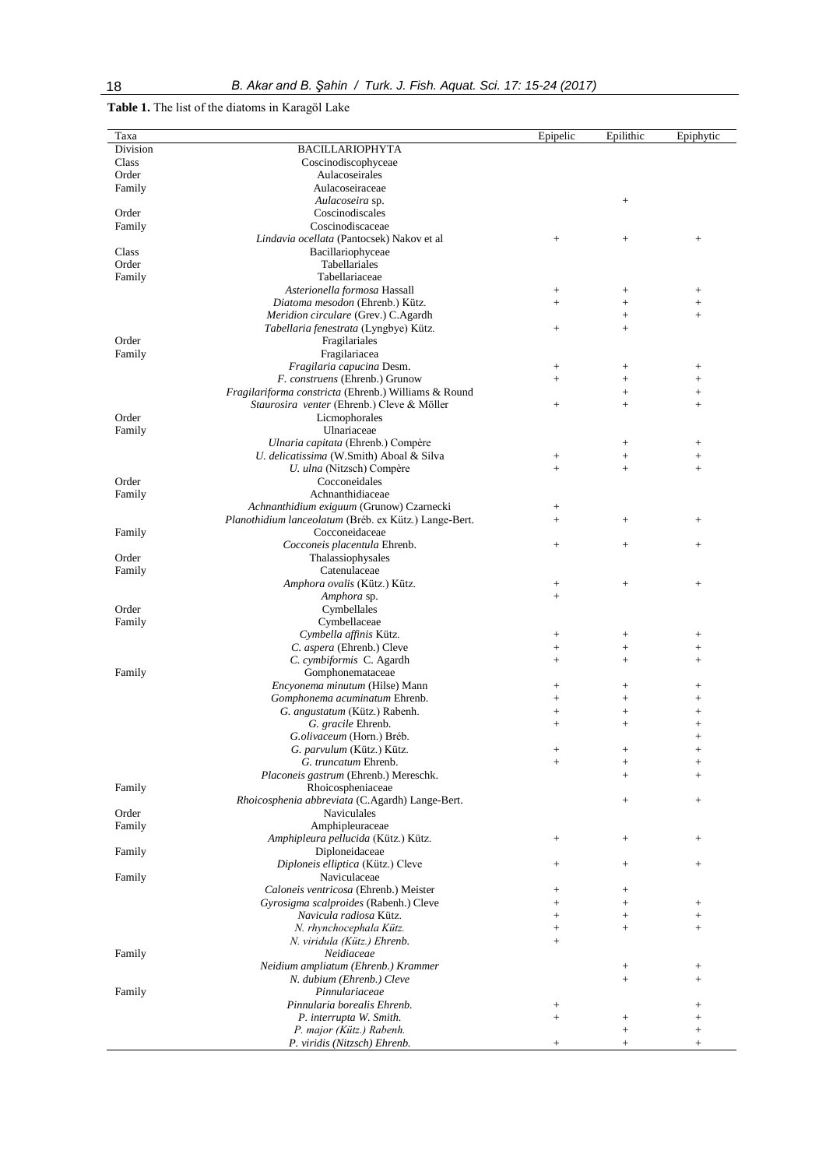| Table 1. The list of the diatoms in Karagöl Lake |
|--------------------------------------------------|
|--------------------------------------------------|

| Taxa     |                                                       | Epipelic         | Epilithic        | Epiphytic |
|----------|-------------------------------------------------------|------------------|------------------|-----------|
| Division | <b>BACILLARIOPHYTA</b>                                |                  |                  |           |
| Class    | Coscinodiscophyceae                                   |                  |                  |           |
| Order    | Aulacoseirales                                        |                  |                  |           |
| Family   | Aulacoseiraceae                                       |                  |                  |           |
|          | Aulacoseira sp.                                       |                  | $^{+}$           |           |
| Order    | Coscinodiscales                                       |                  |                  |           |
| Family   | Coscinodiscaceae                                      |                  |                  |           |
|          | Lindavia ocellata (Pantocsek) Nakov et al             |                  | $\! + \!\!\!\!$  | $^{+}$    |
| Class    | Bacillariophyceae                                     |                  |                  |           |
| Order    | Tabellariales                                         |                  |                  |           |
| Family   | Tabellariaceae                                        |                  |                  |           |
|          | Asterionella formosa Hassall                          |                  |                  |           |
|          | Diatoma mesodon (Ehrenb.) Kütz.                       | $^{+}$<br>$^{+}$ | $^{+}$<br>$^{+}$ | $^{+}$    |
|          | Meridion circulare (Grev.) C.Agardh                   |                  |                  | $^{+}$    |
|          |                                                       |                  | $^{+}$           | $\ddot{}$ |
|          | Tabellaria fenestrata (Lyngbye) Kütz.                 | $+$              | $+$              |           |
| Order    | Fragilariales                                         |                  |                  |           |
| Family   | Fragilariacea                                         |                  |                  |           |
|          | Fragilaria capucina Desm.                             |                  | $^{+}$           | $^{+}$    |
|          | F. construens (Ehrenb.) Grunow                        | $^{+}$           | $^{+}$           | $^{+}$    |
|          | Fragilariforma constricta (Ehrenb.) Williams & Round  |                  | $^{+}$           | $^{+}$    |
|          | Staurosira venter (Ehrenb.) Cleve & Möller            | $+$              | $^{+}$           | $^{+}$    |
| Order    | Licmophorales                                         |                  |                  |           |
| Family   | Ulnariaceae                                           |                  |                  |           |
|          | Ulnaria capitata (Ehrenb.) Compère                    |                  |                  | $^{+}$    |
|          | U. delicatissima (W.Smith) Aboal & Silva              | $^{+}$           | $^{+}$           | $^{+}$    |
|          | U. ulna (Nitzsch) Compère                             | $+$              | $+$              | $\ddot{}$ |
| Order    | Cocconeidales                                         |                  |                  |           |
|          |                                                       |                  |                  |           |
| Family   | Achnanthidiaceae                                      |                  |                  |           |
|          | Achnanthidium exiguum (Grunow) Czarnecki              | $^{+}$           |                  |           |
|          | Planothidium lanceolatum (Bréb. ex Kütz.) Lange-Bert. | $+$              |                  | $^{+}$    |
| Family   | Cocconeidaceae                                        |                  |                  |           |
|          | Cocconeis placentula Ehrenb.                          | $^{+}$           | $^{+}$           | $^{+}$    |
| Order    | Thalassiophysales                                     |                  |                  |           |
| Family   | Catenulaceae                                          |                  |                  |           |
|          | Amphora ovalis (Kütz.) Kütz.                          |                  | $^{+}$           | $^{+}$    |
|          | Amphora sp.                                           | $\boldsymbol{+}$ |                  |           |
| Order    | Cymbellales                                           |                  |                  |           |
| Family   | Cymbellaceae                                          |                  |                  |           |
|          | Cymbella affinis Kütz.                                | $^{+}$           | $^{+}$           | $^{+}$    |
|          | C. aspera (Ehrenb.) Cleve                             |                  | $^{+}$           | $^{+}$    |
|          | C. cymbiformis C. Agardh                              | $+$              | $^{+}$           | $^{+}$    |
| Family   | Gomphonemataceae                                      |                  |                  |           |
|          |                                                       |                  |                  |           |
|          | Encyonema minutum (Hilse) Mann                        | $^{+}$           | $^{+}$           | $^{+}$    |
|          | Gomphonema acuminatum Ehrenb.                         | $^{+}$           | $^{+}$           | $^{+}$    |
|          | G. angustatum (Kütz.) Rabenh.                         | $^{+}$           | $^{+}$           | $^{+}$    |
|          | G. gracile Ehrenb.                                    | $^{+}$           | $^{+}$           | $^{+}$    |
|          | G.olivaceum (Horn.) Bréb.                             |                  |                  | $\ddot{}$ |
|          | G. parvulum (Kütz.) Kütz.                             | $^{+}$           |                  | $^{+}$    |
|          | G. truncatum Ehrenb.                                  | $+$              | $^{+}$           | $^{+}$    |
|          | Placoneis gastrum (Ehrenb.) Mereschk.                 |                  | $^{+}$           | $^{+}$    |
| Family   | Rhoicospheniaceae                                     |                  |                  |           |
|          | Rhoicosphenia abbreviata (C.Agardh) Lange-Bert.       |                  | $\! + \!\!\!\!$  |           |
| Order    | <b>Naviculales</b>                                    |                  |                  |           |
| Family   | Amphipleuraceae                                       |                  |                  |           |
|          | Amphipleura pellucida (Kütz.) Kütz.                   |                  | $+$              |           |
|          |                                                       | $^{+}$           |                  | $^{+}$    |
| Family   | Diploneidaceae                                        |                  |                  |           |
|          | Diploneis elliptica (Kütz.) Cleve                     | $^{+}$           | $^{+}$           | $^{+}$    |
| Family   | Naviculaceae                                          |                  |                  |           |
|          | Caloneis ventricosa (Ehrenb.) Meister                 | $^{+}$           | $^{+}$           |           |
|          | Gyrosigma scalproides (Rabenh.) Cleve                 | $^{+}$           | $^{+}$           | $^{+}$    |
|          | Navicula radiosa Kütz.                                | $^{+}$           | $^{+}$           | $^{+}$    |
|          | N. rhynchocephala Kütz.                               | $\boldsymbol{+}$ | $+$              | $^{+}$    |
|          | N. viridula (Kütz.) Ehrenb.                           | $^{+}$           |                  |           |
| Family   | Neidiaceae                                            |                  |                  |           |
|          | Neidium ampliatum (Ehrenb.) Krammer                   |                  | $\! + \!\!\!\!$  | $^{+}$    |
|          | N. dubium (Ehrenb.) Cleve                             |                  | $+$              | $^{+}$    |
| Family   | Pinnulariaceae                                        |                  |                  |           |
|          | Pinnularia borealis Ehrenb.                           |                  |                  | $^{+}$    |
|          |                                                       | $^{+}$           |                  |           |
|          | P. interrupta W. Smith.                               | $^{+}$           | $^{+}$           | $^{+}$    |
|          | P. major (Kütz.) Rabenh.                              |                  | $^{+}$           | $^{+}$    |
|          | P. viridis (Nitzsch) Ehrenb.                          |                  | $^{+}$           | $^{+}$    |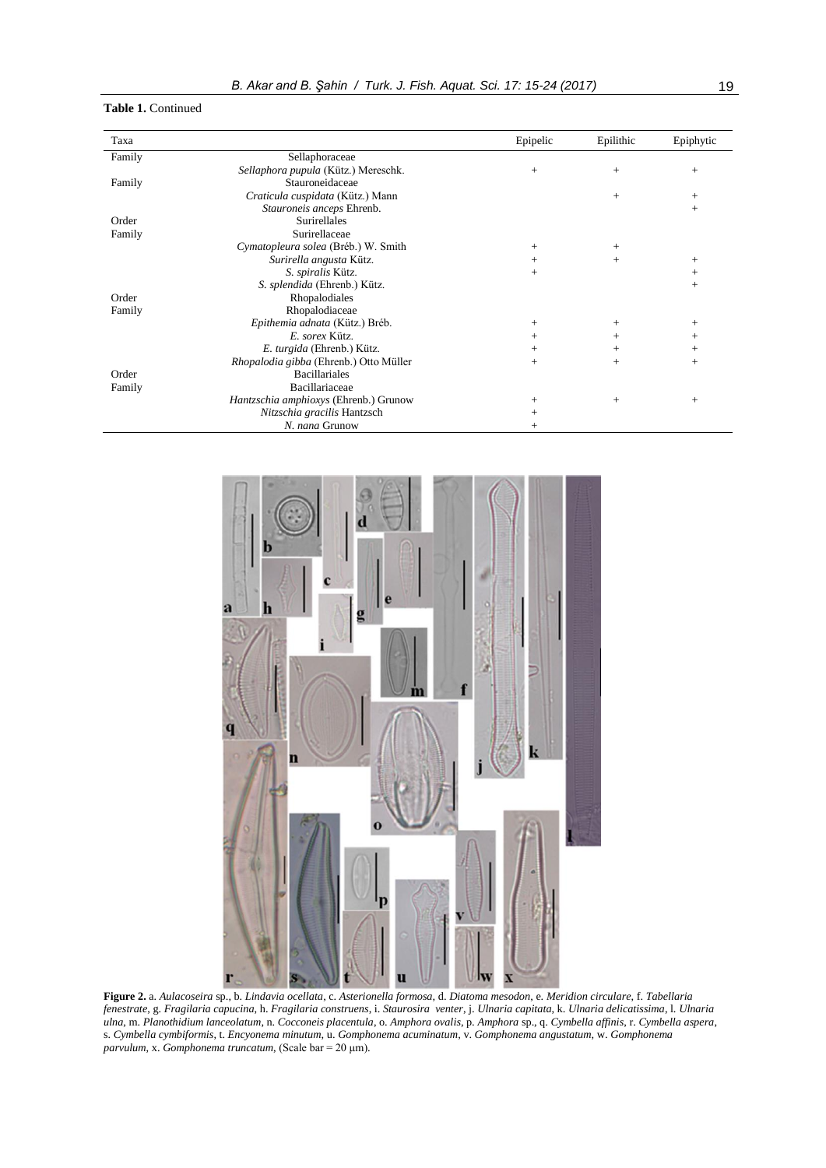#### **Table 1.** Continued

| Taxa   |                                        | Epipelic | Epilithic | Epiphytic |
|--------|----------------------------------------|----------|-----------|-----------|
| Family | Sellaphoraceae                         |          |           |           |
|        | Sellaphora pupula (Kütz.) Mereschk.    | $+$      | $+$       | $+$       |
| Family | Stauroneidaceae                        |          |           |           |
|        | Craticula cuspidata (Kütz.) Mann       |          | $+$       | $^{+}$    |
|        | Stauroneis anceps Ehrenb.              |          |           | $^{+}$    |
| Order  | <b>Surirellales</b>                    |          |           |           |
| Family | Surirellaceae                          |          |           |           |
|        | Cymatopleura solea (Bréb.) W. Smith    | $+$      | $^{+}$    |           |
|        | Surirella angusta Kütz.                | $+$      | $+$       | $+$       |
|        | S. spiralis Kütz.                      | $^{+}$   |           | $^{+}$    |
|        | S. splendida (Ehrenb.) Kütz.           |          |           | $^{+}$    |
| Order  | Rhopalodiales                          |          |           |           |
| Family | Rhopalodiaceae                         |          |           |           |
|        | Epithemia adnata (Kütz.) Bréb.         | $^{+}$   | $+$       | $^{+}$    |
|        | E. sorex Kütz.                         | $+$      | $+$       | $^{+}$    |
|        | E. turgida (Ehrenb.) Kütz.             | $^{+}$   | $+$       | $+$       |
|        | Rhopalodia gibba (Ehrenb.) Otto Müller | $^{+}$   | $+$       | $^{+}$    |
| Order  | <b>Bacillariales</b>                   |          |           |           |
| Family | Bacillariaceae                         |          |           |           |
|        | Hantzschia amphioxys (Ehrenb.) Grunow  | $^{+}$   | $+$       | $^+$      |
|        | Nitzschia gracilis Hantzsch            | $^{+}$   |           |           |
|        | N. nana Grunow                         | $^{+}$   |           |           |



**Figure 2.** a. *Aulacoseira* sp., b. *Lindavia ocellata*, c. *Asterionella formosa*, d. *Diatoma mesodon*, e. *Meridion circulare*, f. *Tabellaria fenestrate*, g. *Fragilaria capucina*, h. *Fragilaria construens*, i. *Staurosira venter*, j. *Ulnaria capitata*, k. *Ulnaria delicatissima*, l. *Ulnaria ulna*, m. *Planothidium lanceolatum*, n. *Cocconeis placentula*, o. *Amphora ovalis*, p. *Amphora* sp., q. *Cymbella affinis*, r. *Cymbella aspera*, s. *Cymbella cymbiformis*, t. *Encyonema minutum*, u. *Gomphonema acuminatum*, v. *Gomphonema angustatum*, w. *Gomphonema parvulum*, x. *Gomphonema truncatum*, (Scale bar = 20 μm).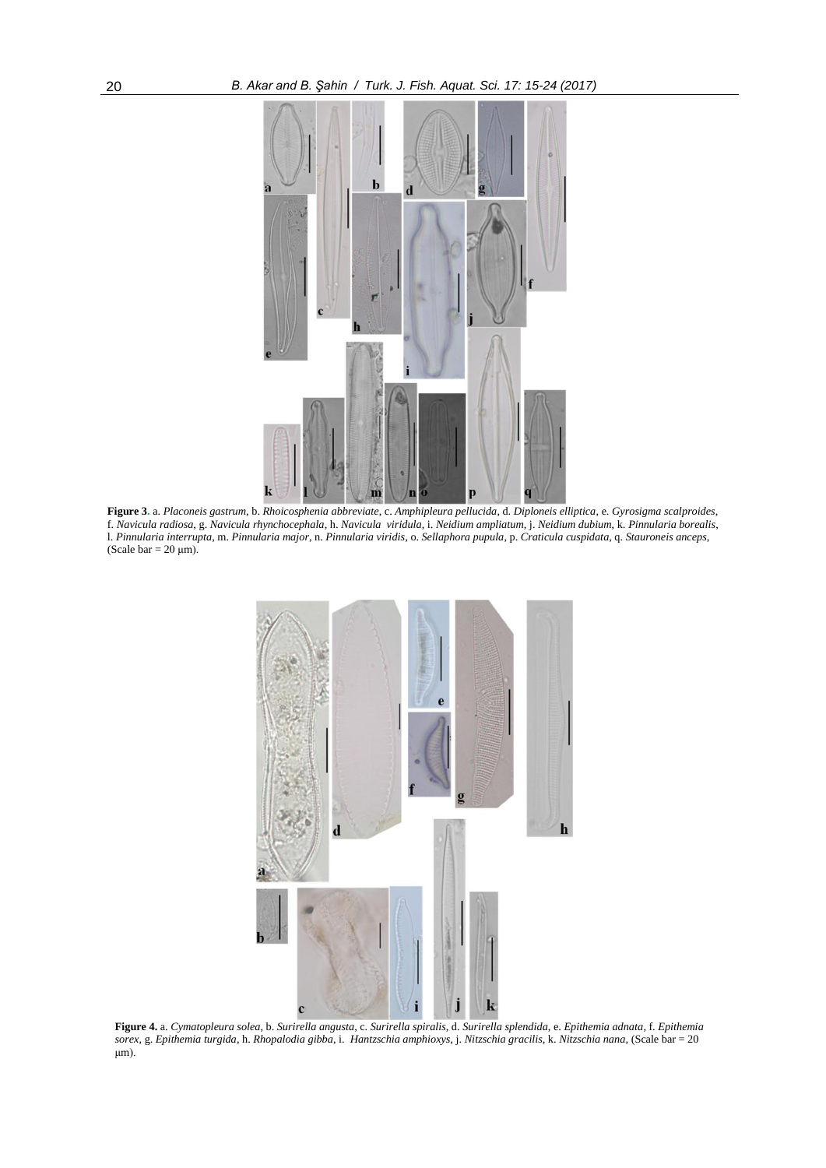

**Figure 3.** a. *Placoneis gastrum*, b. *Rhoicosphenia abbreviate*, c. *Amphipleura pellucida*, d. *Diploneis elliptica*, e. *Gyrosigma scalproides*, f. *Navicula radiosa*, g. *Navicula rhynchocephala*, h. *Navicula viridula*, i. *Neidium ampliatum*, j. *Neidium dubium*, k. *Pinnularia borealis*, l. *Pinnularia interrupta*, m. *Pinnularia major*, n. *Pinnularia viridis*, o. *Sellaphora pupula*, p. *Craticula cuspidata*, q. *Stauroneis anceps*, (Scale bar =  $20 \mu m$ ).



**Figure 4.** a. *Cymatopleura solea*, b. *Surirella angusta*, c. *Surirella spiralis*, d. *Surirella splendida*, e. *Epithemia adnata*, f. *Epithemia sorex*, g. *Epithemia turgida*, h. *Rhopalodia gibba*, i. *Hantzschia amphioxys*, j. *Nitzschia gracilis*, k. *Nitzschia nana*, (Scale bar = 20 μm).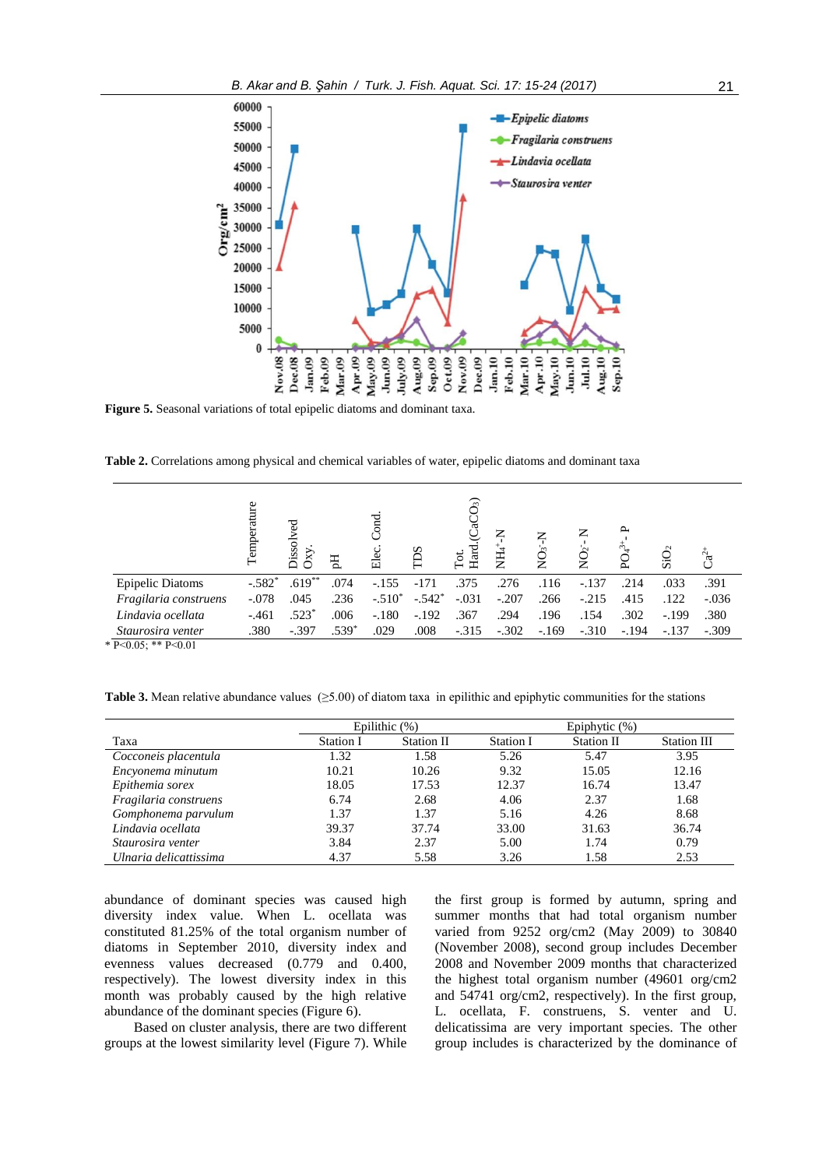

**Figure 5.** Seasonal variations of total epipelic diatoms and dominant taxa.

**Table 2.** Correlations among physical and chemical variables of water, epipelic diatoms and dominant taxa

|                         | Temperature | ್ಠ<br>Dissol <sup>-</sup><br>Oху | 핁       | Cond.<br>Elec. | TDS      | $O_3$<br>CaC<br>Hard.<br>Tot. | z<br><b>HH</b> | ⇁<br>ş<br>∠ | z<br>ĝ  | $\sim$<br>₹, | SiO <sub>2</sub> | $2^{2+}$ |
|-------------------------|-------------|----------------------------------|---------|----------------|----------|-------------------------------|----------------|-------------|---------|--------------|------------------|----------|
| <b>Epipelic Diatoms</b> | $-.582*$    | $.619***$                        | .074    | $-.155$        | $-171$   | .375                          | .276           | .116        | $-.137$ | .214         | .033             | .391     |
| Fragilaria construens   | $-.078$     | .045                             | .236    | $-.510*$       | $-.542*$ | $-.031$                       | $-.207$        | .266        | $-.215$ | .415         | .122             | $-.036$  |
| Lindavia ocellata       | $-.461$     | $.523*$                          | .006    | $-.180$        | $-.192$  | .367                          | .294           | .196        | .154    | .302         | $-.199$          | .380     |
| Staurosira venter       | .380        | $-.397$                          | $.539*$ | .029           | .008     | $-.315$                       | $-.302$        | $-.169$     | $-.310$ | $-.194$      | $-.137$          | $-.309$  |

\* P˂0.05; \*\* P˂0.01

**Table 3.** Mean relative abundance values ( $\geq$ 5.00) of diatom taxa in epilithic and epiphytic communities for the stations

|                        |                  | Epilithic (%) |           |                   |             |
|------------------------|------------------|---------------|-----------|-------------------|-------------|
| Taxa                   | <b>Station I</b> | Station II    | Station I | <b>Station II</b> | Station III |
| Cocconeis placentula   | 1.32             | 1.58          | 5.26      | 5.47              | 3.95        |
| Encyonema minutum      | 10.21            | 10.26         | 9.32      | 15.05             | 12.16       |
| Epithemia sorex        | 18.05            | 17.53         | 12.37     | 16.74             | 13.47       |
| Fragilaria construens  | 6.74             | 2.68          | 4.06      | 2.37              | 1.68        |
| Gomphonema parvulum    | 1.37             | 1.37          | 5.16      | 4.26              | 8.68        |
| Lindavia ocellata      | 39.37            | 37.74         | 33.00     | 31.63             | 36.74       |
| Staurosira venter      | 3.84             | 2.37          | 5.00      | 1.74              | 0.79        |
| Ulnaria delicattissima | 4.37             | 5.58          | 3.26      | 1.58              | 2.53        |

abundance of dominant species was caused high diversity index value. When L. ocellata was constituted 81.25% of the total organism number of diatoms in September 2010, diversity index and evenness values decreased (0.779 and 0.400, respectively). The lowest diversity index in this month was probably caused by the high relative abundance of the dominant species (Figure 6).

Based on cluster analysis, there are two different groups at the lowest similarity level (Figure 7). While the first group is formed by autumn, spring and summer months that had total organism number varied from 9252 org/cm2 (May 2009) to 30840 (November 2008), second group includes December 2008 and November 2009 months that characterized the highest total organism number (49601 org/cm2 and 54741 org/cm2, respectively). In the first group, L. ocellata, F. construens, S. venter and U. delicatissima are very important species. The other group includes is characterized by the dominance of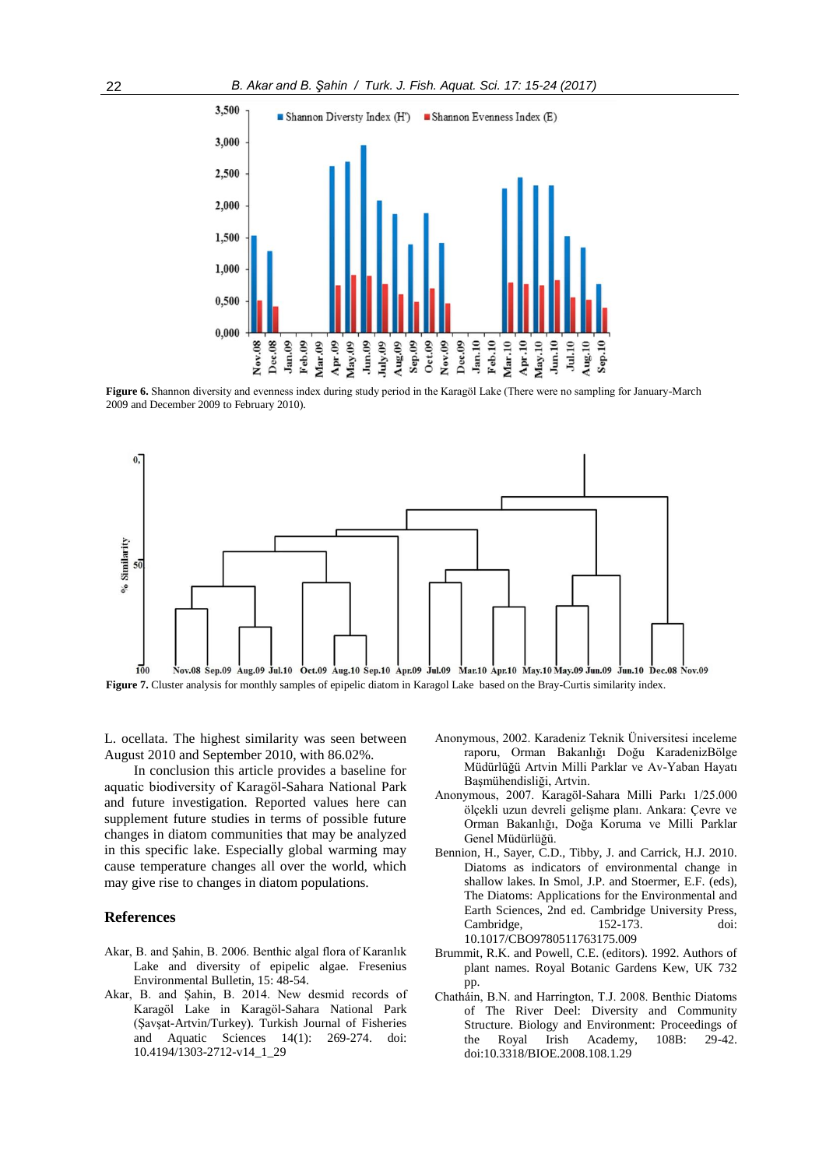

**Figure 6.** Shannon diversity and evenness index during study period in the Karagöl Lake (There were no sampling for January-March 2009 and December 2009 to February 2010).



**Figure 7.** Cluster analysis for monthly samples of epipelic diatom in Karagol Lake based on the Bray-Curtis similarity index.

L. ocellata. The highest similarity was seen between August 2010 and September 2010, with 86.02%.

In conclusion this article provides a baseline for aquatic biodiversity of Karagöl-Sahara National Park and future investigation. Reported values here can supplement future studies in terms of possible future changes in diatom communities that may be analyzed in this specific lake. Especially global warming may cause temperature changes all over the world, which may give rise to changes in diatom populations.

## **References**

- Akar, B. and Şahin, B. 2006. Benthic algal flora of Karanlık Lake and diversity of epipelic algae. Fresenius Environmental Bulletin, 15: 48-54.
- Akar, B. and Şahin, B. 2014. New desmid records of Karagöl Lake in Karagöl-Sahara National Park (Şavşat-Artvin/Turkey). Turkish Journal of Fisheries and Aquatic Sciences 14(1): 269-274. doi: 10.4194/1303-2712-v14\_1\_29
- Anonymous, 2002. Karadeniz Teknik Üniversitesi inceleme raporu, Orman Bakanlığı Doğu KaradenizBölge Müdürlüğü Artvin Milli Parklar ve Av-Yaban Hayatı Başmühendisliği, Artvin.
- Anonymous, 2007. Karagöl-Sahara Milli Parkı 1/25.000 ölçekli uzun devreli gelişme planı. Ankara: Çevre ve Orman Bakanlığı, Doğa Koruma ve Milli Parklar Genel Müdürlüğü.
- Bennion, H., Sayer, C.D., Tibby, J. and Carrick, H.J. 2010. Diatoms as indicators of environmental change in shallow lakes. In Smol, J.P. and Stoermer, E.F. (eds), The Diatoms: Applications for the Environmental and Earth Sciences, 2nd ed. Cambridge University Press, Cambridge, 152-173. doi: [10.1017/CBO9780511763175.009](http://dx.doi.org/10.1017/CBO9780511763175.009)
- Brummit, R.K. and Powell, C.E. (editors). 1992. Authors of plant names. Royal Botanic Gardens Kew, UK 732 pp.
- Chatháin, B.N. and Harrington, T.J. 2008. Benthic Diatoms of The River Deel: Diversity and Community Structure. Biology and Environment: Proceedings of the Royal Irish Academy, 108B: 29-42. doi:10.3318/BIOE.2008.108.1.29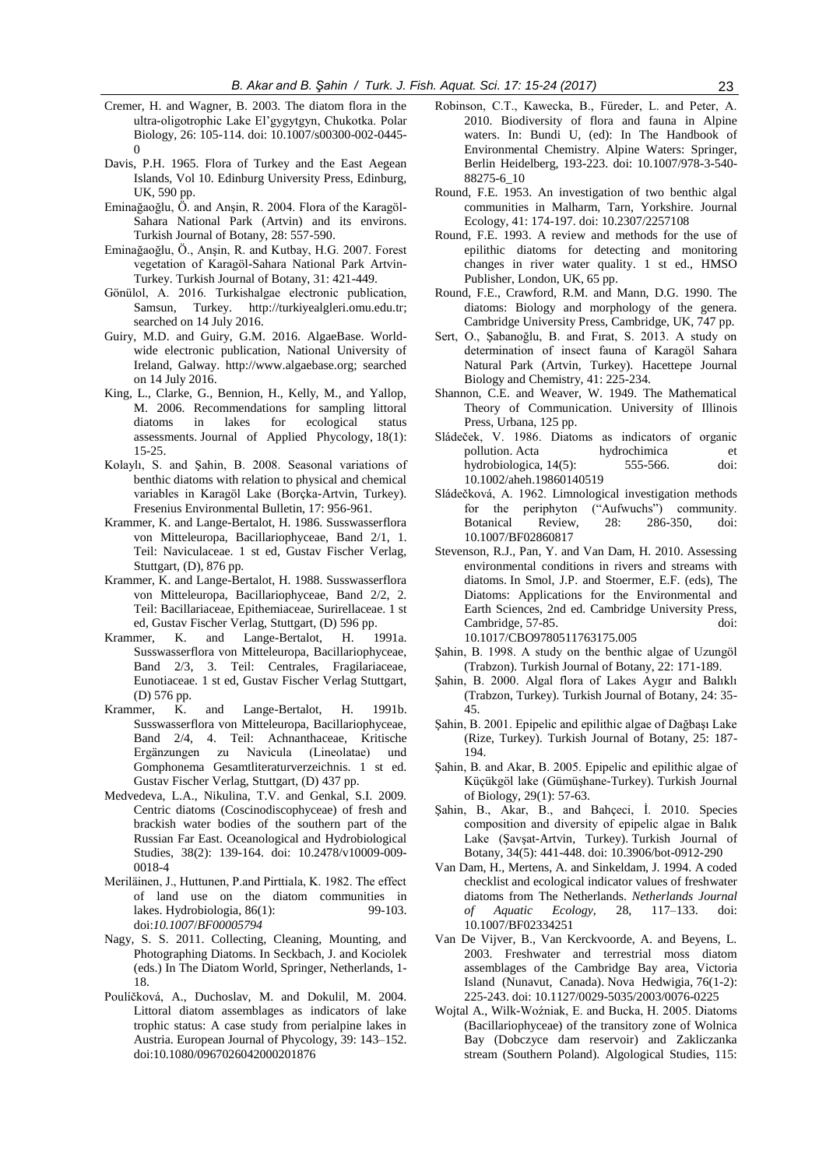- Cremer, H. and Wagner, B. 2003. The diatom flora in the ultra-oligotrophic Lake El'gygytgyn, Chukotka. Polar Biology, 26: 105-114. doi: 10.1007/s00300-002-0445-  $\Omega$
- Davis, P.H. 1965. Flora of Turkey and the East Aegean Islands, Vol 10. Edinburg University Press, Edinburg, UK, 590 pp.
- Eminağaoğlu, Ö. and Anşin, R. 2004. Flora of the Karagöl-Sahara National Park (Artvin) and its environs. Turkish Journal of Botany, 28: 557-590.
- Eminağaoğlu, Ö., Anşin, R. and Kutbay, H.G. 2007. Forest vegetation of Karagöl-Sahara National Park Artvin-Turkey. Turkish Journal of Botany, 31: 421-449.
- Gönülol, A. 2016. Turkishalgae electronic publication, Samsun, Turkey. [http://turkiyealgleri.omu.edu.tr;](http://turkiyealgleri.omu.edu.tr/) searched on 14 July 2016.
- Guiry, M.D. and Guiry, G.M. 2016. AlgaeBase. Worldwide electronic publication, National University of Ireland, Galway. http://www.algaebase.org; searched on 14 July 2016.
- King, L., Clarke, G., Bennion, H., Kelly, M., and Yallop, M. 2006. Recommendations for sampling littoral diatoms in lakes for ecological status assessments. Journal of Applied Phycology, 18(1): 15-25.
- Kolaylı, S. and Şahin, B. 2008. Seasonal variations of benthic diatoms with relation to physical and chemical variables in Karagöl Lake (Borçka-Artvin, Turkey). Fresenius Environmental Bulletin, 17: 956-961.
- Krammer, K. and Lange-Bertalot, H. 1986. Susswasserflora von Mitteleuropa, Bacillariophyceae, Band 2/1, 1. Teil: Naviculaceae. 1 st ed, Gustav Fischer Verlag, Stuttgart, (D), 876 pp.
- Krammer, K. and Lange-Bertalot, H. 1988. Susswasserflora von Mitteleuropa, Bacillariophyceae, Band 2/2, 2. Teil: Bacillariaceae, Epithemiaceae, Surirellaceae. 1 st ed, Gustav Fischer Verlag, Stuttgart, (D) 596 pp.
- Krammer, K. and Lange-Bertalot, H. 1991a. Susswasserflora von Mitteleuropa, Bacillariophyceae, Band 2/3, 3. Teil: Centrales, Fragilariaceae, Eunotiaceae. 1 st ed, Gustav Fischer Verlag Stuttgart, (D) 576 pp.
- Krammer, K. and Lange-Bertalot, H. 1991b. Susswasserflora von Mitteleuropa, Bacillariophyceae, Band 2/4, 4. Teil: Achnanthaceae, Kritische Ergänzungen zu Navicula (Lineolatae) und Gomphonema Gesamtliteraturverzeichnis. 1 st ed. Gustav Fischer Verlag, Stuttgart, (D) 437 pp.
- Medvedeva, L.A., Nikulina, T.V. and Genkal, S.I. 2009. Centric diatoms (Coscinodiscophyceae) of fresh and brackish water bodies of the southern part of the Russian Far East. Oceanological and Hydrobiological Studies, 38(2): 139-164. doi: 10.2478/v10009-009- 0018-4
- Meriläinen, J., Huttunen, P.and Pirttiala, K. 1982. The effect of land use on the diatom communities in lakes. Hydrobiologia, 86(1): 99-103. doi:*10.1007*/*BF00005794*
- Nagy, S. S. 2011. Collecting, Cleaning, Mounting, and Photographing Diatoms. In Seckbach, J. and Kociolek (eds.) In The Diatom World, Springer, Netherlands, 1- 18.
- Poulíčková, A., Duchoslav, M. and Dokulil, M. 2004. Littoral diatom assemblages as indicators of lake trophic status: A case study from perialpine lakes in Austria. European Journal of Phycology, 39: 143–152. doi:10.1080/0967026042000201876
- Robinson, C.T., Kawecka, B., Füreder, L. and Peter, A. 2010. Biodiversity of flora and fauna in Alpine waters. In: Bundi U, (ed): In The Handbook of Environmental Chemistry. Alpine Waters: Springer, Berlin Heidelberg, 193-223. doi: 10.1007/978-3-540- 88275-6\_10
- Round, F.E. 1953. An investigation of two benthic algal communities in Malharm, Tarn, Yorkshire. Journal Ecology, 41: 174-197. doi: 10.2307/2257108
- Round, F.E. 1993. A review and methods for the use of epilithic diatoms for detecting and monitoring changes in river water quality. 1 st ed., HMSO Publisher, London, UK, 65 pp.
- Round, F.E., Crawford, R.M. and Mann, D.G. 1990. The diatoms: Biology and morphology of the genera. Cambridge University Press, Cambridge, UK, 747 pp.
- Sert, O., Şabanoğlu, B. and Fırat, S. 2013. A study on determination of insect fauna of Karagöl Sahara Natural Park (Artvin, Turkey). Hacettepe Journal Biology and Chemistry, 41: 225-234.
- Shannon, C.E. and Weaver, W. 1949. The Mathematical Theory of Communication. University of Illinois Press, Urbana, 125 pp.
- Sládeček, V. 1986. Diatoms as indicators of organic pollution. Acta hydrochimica et hydrobiologica, 14(5): 555-566. doi: 10.1002/aheh.19860140519
- Sládečková, A. 1962. Limnological investigation methods for the periphyton ("Aufwuchs") community. Botanical Review, 28: 286-350, doi: 10.1007/BF02860817
- Stevenson, R.J., Pan, Y. and Van Dam, H. 2010. Assessing environmental conditions in rivers and streams with diatoms. In Smol, J.P. and Stoermer, E.F. (eds), The Diatoms: Applications for the Environmental and Earth Sciences, 2nd ed. Cambridge University Press, Cambridge, 57-85. doi: [10.1017/CBO9780511763175.005](http://dx.doi.org/10.1017/CBO9780511763175.005)
- Şahin, B. 1998. A study on the benthic algae of Uzungöl (Trabzon). Turkish Journal of Botany, 22: 171-189.
- Şahin, B. 2000. Algal flora of Lakes Aygır and Balıklı (Trabzon, Turkey). Turkish Journal of Botany, 24: 35- 45.
- Şahin, B. 2001. Epipelic and epilithic algae of Dağbaşı Lake (Rize, Turkey). Turkish Journal of Botany, 25: 187- 194.
- Şahin, B. and Akar, B. 2005. Epipelic and epilithic algae of Küçükgöl lake (Gümüşhane-Turkey). Turkish Journal of Biology, 29(1): 57-63.
- Şahin, B., Akar, B., and Bahçeci, İ. 2010. Species composition and diversity of epipelic algae in Balık Lake (Şavşat-Artvin, Turkey). Turkish Journal of Botany, 34(5): 441-448. doi: 10.3906/bot-0912-290
- Van Dam, H., Mertens, A. and Sinkeldam, J. 1994. A coded checklist and ecological indicator values of freshwater diatoms from The Netherlands. *Netherlands Journal of Aquatic Ecology,* 28, 117–133. doi: 10.1007/BF02334251
- Van De Vijver, B., Van Kerckvoorde, A. and Beyens, L. 2003. Freshwater and terrestrial moss diatom assemblages of the Cambridge Bay area, Victoria Island (Nunavut, Canada). Nova Hedwigia, 76(1-2): 225-243. doi[: 10.1127/0029-5035/2003/0076-0225](http://dx.doi.org/10.1127/0029-5035/2003/0076-0225)
- Wojtal A., Wilk-Woźniak, E. and Bucka, H. 2005. Diatoms (Bacillariophyceae) of the transitory zone of Wolnica Bay (Dobczyce dam reservoir) and Zakliczanka stream (Southern Poland). Algological Studies, 115: